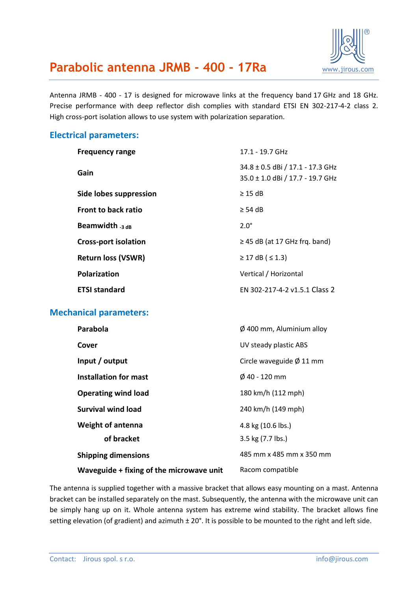

# **Parabolic antenna JRMB - 400 - 17Ra** [www.jirous.com](http://www.jirous.com/)

Antenna JRMB - 400 - 17 is designed for microwave links at the frequency band 17 GHz and 18 GHz. Precise performance with deep reflector dish complies with standard ETSI EN 302-217-4-2 class 2. High cross-port isolation allows to use system with polarization separation.

### **Electrical parameters:**

| <b>Frequency range</b>      | 17.1 - 19.7 GHz                                                      |
|-----------------------------|----------------------------------------------------------------------|
| Gain                        | 34.8 ± 0.5 dBi / 17.1 - 17.3 GHz<br>35.0 ± 1.0 dBi / 17.7 - 19.7 GHz |
| Side lobes suppression      | $\geq$ 15 dB                                                         |
| <b>Front to back ratio</b>  | $>$ 54 dB                                                            |
| Beamwidth $_3$ dB           | $2.0^\circ$                                                          |
| <b>Cross-port isolation</b> | $\geq$ 45 dB (at 17 GHz frg. band)                                   |
| <b>Return loss (VSWR)</b>   | $≥ 17$ dB ( ≤ 1.3)                                                   |
| <b>Polarization</b>         | Vertical / Horizontal                                                |
| <b>ETSI standard</b>        | FN 302-217-4-2 v1.5.1 Class 2                                        |

## **Mechanical parameters:**

| Parabola                                 | $\varnothing$ 400 mm, Aluminium alloy |
|------------------------------------------|---------------------------------------|
| Cover                                    | UV steady plastic ABS                 |
| Input / output                           | Circle waveguide $\varnothing$ 11 mm  |
| Installation for mast                    | $\phi$ 40 - 120 mm                    |
| <b>Operating wind load</b>               | 180 km/h (112 mph)                    |
| Survival wind load                       | 240 km/h (149 mph)                    |
| <b>Weight of antenna</b>                 | 4.8 kg (10.6 lbs.)                    |
| of bracket                               | 3.5 kg (7.7 lbs.)                     |
| <b>Shipping dimensions</b>               | 485 mm x 485 mm x 350 mm              |
| Waveguide + fixing of the microwave unit | Racom compatible                      |

The antenna is supplied together with a massive bracket that allows easy mounting on a mast. Antenna bracket can be installed separately on the mast. Subsequently, the antenna with the microwave unit can be simply hang up on it. Whole antenna system has extreme wind stability. The bracket allows fine setting elevation (of gradient) and azimuth  $\pm 20^{\circ}$ . It is possible to be mounted to the right and left side.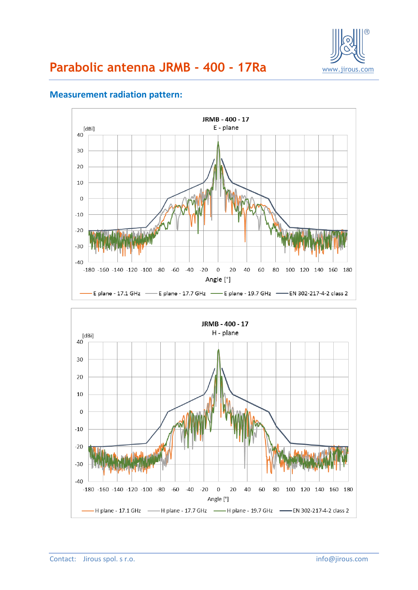



## **Measurement radiation pattern:**